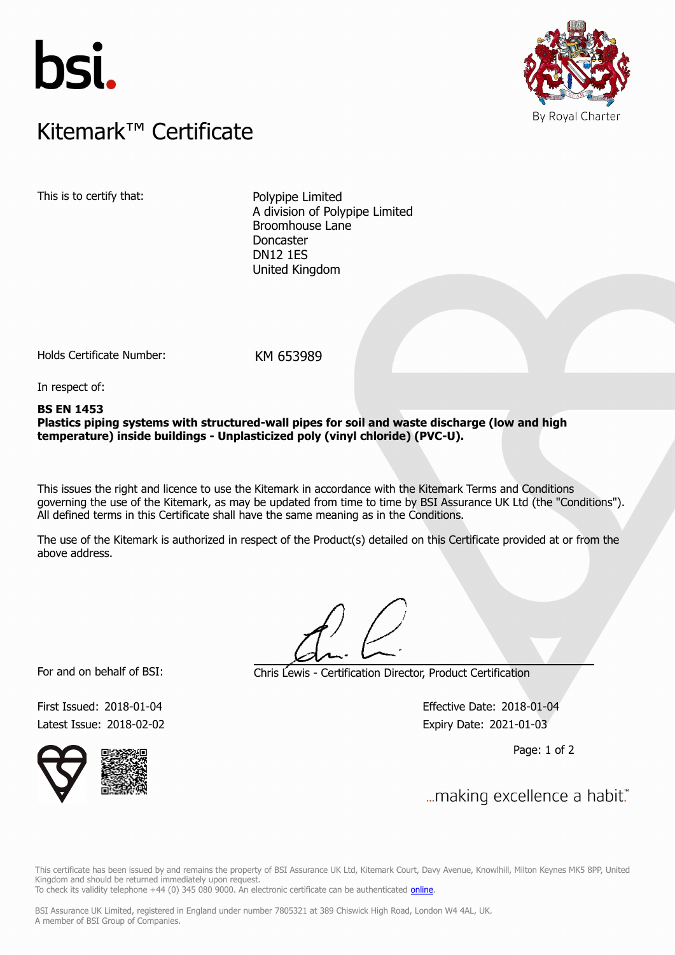



## $K$ itemark $W$  Certificate Kitemark™ Certificate

This is to certify that: Polypipe Limited

A division of Polypipe Limited Broomhouse Lane Doncaster DN12 1ES United Kingdom

Holds Certificate Number: KM 653989

In respect of:

#### **BS EN 1453**

**Plastics piping systems with structured-wall pipes for soil and waste discharge (low and high temperature) inside buildings - Unplasticized poly (vinyl chloride) (PVC-U).**

This issues the right and licence to use the Kitemark in accordance with the Kitemark Terms and Conditions governing the use of the Kitemark, as may be updated from time to time by BSI Assurance UK Ltd (the "Conditions"). All defined terms in this Certificate shall have the same meaning as in the Conditions.

The use of the Kitemark is authorized in respect of the Product(s) detailed on this Certificate provided at or from the above address.

For and on behalf of BSI: Chris Lewis - Certification Director, Product Certification

Latest Issue: 2018-02-02 **Expiry Date: 2021-01-03** 

First Issued: 2018-01-04 Effective Date: 2018-01-04

Page: 1 of 2



... making excellence a habit." First Issued: 2018-01-04 Effective Date: 2018-01-04

This certificate has been issued by and remains the property of BSI Assurance UK Ltd, Kitemark Court, Davy Avenue, Knowlhill, Milton Keynes MK5 8PP, United Kingdom and should be returned immediately upon request. To check its validity telephone +44 (0) 345 080 9000. An electronic certificate can be authenticated *[online](https://pgplus.bsigroup.com/CertificateValidation/CertificateValidator.aspx?CertificateNumber=KM+653989&ReIssueDate=02%2f02%2f2018&Template=uk)*.

BSI Assurance UK Limited, registered in England under number 7805321 at 389 Chiswick High Road, London W4 4AL, UK.

A member of BSI Group of Companies.